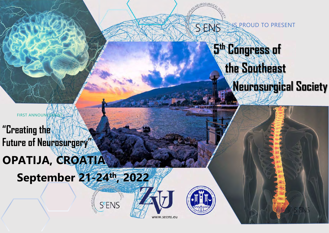S PROUD TO PRESENT SENS

# 5 th Congress of the Southeast

# Neurosurgical Society

FIRST ANNOUNCEMENT **"Creating the Future of Neurosurgery"** OPATIJA**,** CROATIA

**September** 2**1**-2**4 th ,** 202**2**

**S<sup>e</sup>ENS** 



www.seens.eu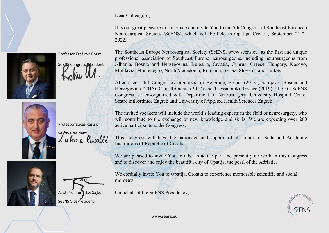

Professor Krešimir Rotim

SeEMS Congress **Aresident** 



Professor Lukas Rasulić Sepris President<br>Lukas Rosulis





Dear Colleagues,

It is our great pleasure to announce and invite You to the 5th Congress of Southeast European Neurosurgical Society (SeENS), which will be held in Opatija, Croatia, September 21-24 2022.

The Southeast Europe Neurosurgical Society (SeENS, www.seens.eu) as the first and unique professional association of Southeast Europe neurosurgeons, including neurosurgeons from Albania, Bosnia and Herzegovina, Bulgaria, Croatia, Cyprus, Greece, Hungary, Kosovo, Moldavia, Montenegro, North Macedonia, Romania, Serbia, Slovenia and Turkey.

After successful Congresses organized in Belgrade, Serbia (2013), Sarajevo, Bosnia and Herzegovina (2015), Cluj, Romania (2017) and Thessaloniki, Greece (2019), the 5th SeENS Congress is co-organized with Department of Neurosurgery, University Hospital Center Sestre milosrdnice Zagreb and University of Applied Health Sciences Zagreb.

The invited speakers will include the world's leading experts in the field of neurosurgery, who will contribute to the exchange of new knowledge and skills. We are expecting over 200 active participants at the Congress.

This Congress will have the patronage and support of all important State and Academic Institutions of Republic of Croatia.

We are pleased to invite You to take an active part and present your work in this Congress and to discover and enjoy the beautiful city of Opatija, the pearl of the Adriatic.

We cordially invite You to Opatija, Croatia to experience memorable scientific and social moments.

On behalf of the SeENS Presidency,



www.seens.eu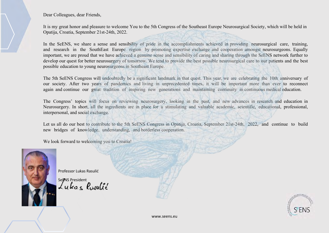Dear Colleagues, dear Friends,

It is my great honor and pleasure to welcome You to the 5th Congress of the Southeast Europe Neurosurgical Society, which will be held in Opatija, Croatia, September 21st-24th, 2022.

In the SeENS, we share a sense and sensibility of pride in the accomplishments achieved in providing neurosurgical care, training, and research in the SouthEast Europe region by promoting expertise exchange and cooperation amongst neurosurgeons. Equally important, we are proud that we have achieved a genuine sense and sensibility of caring and sharing through the SeENS network further to develop our quest for better neurosurgery of tomorrow. We tend to provide the best possible neurosurgical care to our patients and the best possible education to young neurosurgeons in Southeast Europe.

The 5th SeENS Congress will undoubtedly be a significant landmark in that quest. This year, we are celebrating the 10th anniversary of our society. After two years of pandemics and living in unprecedented times, it will be important more than ever to reconnect again and continue our great tradition of inspiring new generations and maintaining continuity in continuous medical education.

The Congress' topics will focus on reviewing neurosurgery, looking in the past, and new advances in research and education in Neurosurgery. In short, all the ingredients are in place for a stimulating and valuable academic, scientific, educational, professional, interpersonal, and social exchange.

Let us all do our best to contribute to the 5th SeENS Congress in Opatija, Croatia, September 21st-24th, 2022, and continue to build new bridges of knowledge, understanding, and borderless cooperation.

We look forward to welcoming you to Croatia!



Professor Lukas Rasulić

Septivs President<br>Lukas Resulté

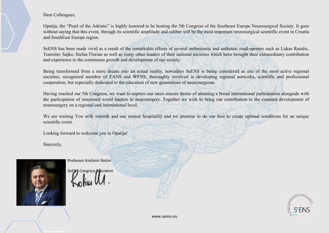Dear Colleagues,

Opatija, the "Pearl of the Adriatic" is highly honored to be hosting the 5th Congress of the Southeast Europe Neurosurgical Society. It goes without saying that this event, through its scientific amplitude and caliber will be the most important neurosurgical scientific event in Croatia and SouthEast Europe region.

SeENS has been made vivid as a result of the remarkable efforts of several enthusiastic and authentic road-openers such as Lukas Rasulic, Tomislav Sajko, Stefan Florian as well as many other leaders of their national societies which have brought their extraordinary contribution and experience to the continuous growth and development of our society.

Being transformed from a mere dream into an actual reality, nowadays SeENS is being considered as one of the most active regional societies, recognized member of EANS and WFNS, thoroughly involved in developing regional networks, scientific and professional cooperation, but especially dedicated to the education of new generations of neurosurgeons.

Having reached our 5th Congress, we want to express our most sincere desire of attaining a broad international participation alongside with the participation of renowned world leaders in neurosurgery. Together we wish to bring our contribution to the constant development of neurosurgery on a regional and international level.

We are waiting You with warmth and our utmost hospitality and we promise to do our best to create optimal conditions for an unique scientific event.

Looking forward to welcome you in Opatija!

Sincerely,



Professor Krešimir Rotim

SeEMS Congress President

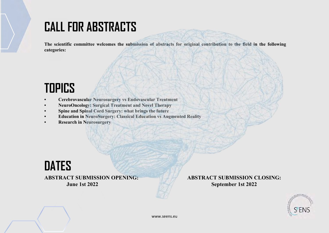#### **CALL FOR ABSTRACTS**

**The scientific committee welcomes the submission of abstracts for original contribution to the field in the following categories:** 

### **TOPICS**

- **Cerebrovascular Neurosurgery vs Endovascular Treatment**
- **NeuroOncology: Surgical Treatment and Novel Therapy**
- **Spine and Spinal Cord Surgery: what brings the future**
- **Education in NeuroSurgery: Classical Education vs Augmented Reality**
- **Research in Neurosurgery**



**ABSTRACT SUBMISSION OPENING: June 1st 2022** 

**ABSTRACT SUBMISSION CLOSING: September 1st 2022**

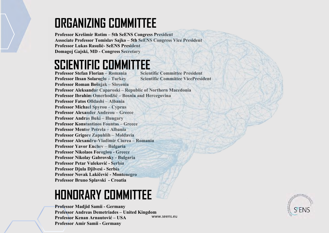#### **ORGANIZING COMMITTEE**

**Professor Krešimir Rotim – 5th SeENS Congress President Associate Professor Tomislav Sajko – 5th SeENS Congress Vice President Professor Lukas Rasulić- SeENS President Domagoj Gajski, MD - Congress Secretary**

#### **SCIENTIFIC COMMITTEE**

**Professor Stefan Florian – Romania Scientific Committee President Professor Ihsan Solaroglu – Turkey Scientific Committee VicePresident Professor Roman Bošnjak – Slovenia Professor Aleksandar Caparoski – Republic of Northern Macedonia Professor Ibrahim Omerhodžić – Bosnia and Hercegovina Professor Fatos Olldashi – Albania Professor Michael Spyrou – Cyprus Professor Alexander Andreou – Greece Professor Andras Buki – Hungary Professor Konstantinos Fountas – Greece Professor Mentor Petrela – Albania Professor Grigore Zapuhlih – Moldavia Professor Alexandru-Vladimir Ciurea – Romania Professor Yavor Enchev – Bulgaria Professor Nikolaos Foroglou - Greece Professor Nikolay Gabrovsky - Bulgaria Professor Petar Vuleković - Serbia Professor Djula Djilvesi - Serbia Professor Novak Lakičević - Montenegro Professor Bruno Splavski - Croatia**

## **HONORARY COMMITTEE**

www.seens.eu **Professor Madjid Samii - Germany Professor Andreas Demetriades – United Kingdom Professor Kenan Arnautović – USA Professor Amir Samii - Germany**

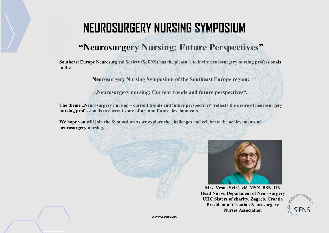#### **NEUROSURGERY NURSING SYMPOSIUM**

#### **"Neurosurgery Nursing: Future Perspectives"**

**Southeast Europe Neurosurgical Society (SeENS) has the pleasure to invite neurosurgery nursing professionals to the**

**Neurosurgery Nursing Symposium of the Southeast Europe region:** 

**"Neurosurgery nursing: Current trends and future perspectives".**

The theme "Neurosurgery nursing – current trends and future perspectives" reflects the desire of neurosurgery **nursing professionals to current state-of-art and future developments.** 

**We hope you will join the Symposium as we explore the challenges and celebrate the achievements of neurosurgery nursing.**



**Mrs. Vesna Svirčević, MSN, BSN, RN Head Nurse, Department of Neurosurgery UHC Sisters of charity, Zagreb, Croatia President of Croatian Neurosurgery Nurses Association**

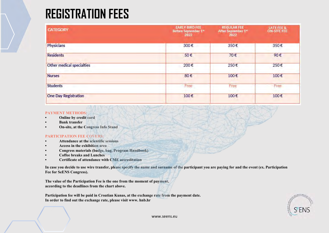### **REGISTRATION FEES**

| <b>CATEGORY</b>           | <b>EARLY BIRD FEE</b><br>Before September 1 <sup>*</sup><br>2022 | <b>REGULAR FEE</b><br>After September 1 <sup>et</sup><br>2022 | LATE FEE &<br><b>ON-SITE FEE</b> |
|---------------------------|------------------------------------------------------------------|---------------------------------------------------------------|----------------------------------|
| Physicians                | 300€                                                             | 350€                                                          | 350€                             |
| <b>Residents</b>          | 50€                                                              | 70€                                                           | 90€                              |
| Other medical specialties | 200€                                                             | 250€                                                          | 250€                             |
| <b>Nurses</b>             | 80€                                                              | 100€                                                          | 100€                             |
| <b>Students</b>           | Free                                                             | Free                                                          | Free                             |
| One Day Registration      | 100€                                                             | 100€                                                          | 100€                             |

#### **PAYMENT METHODS:**

- **Online by credit card**
- **Bank transfer**
- **On-site, at the Congress Info Stand**

#### **PARTICIPATION FEE COVERS:**

- **Attendance at the scientific sessions**
- **Access in the exhibition area**
- **Congress materials (badge, bag, Program Handbook)**
- **Coffee breaks and Lunches**
- **Certificate of attendance with CME accreditation**

**In case you decide to use wire transfer, please specify the name and surname of the participant you are paying for and the event (ex. Participation Fee for SeENS Congress).**

**The value of the Participation Fee is the one from the moment of payment, according to the deadlines from the chart above.**

**Participation fee will be paid in Croatian Kunas, at the exchange rate from the payment date. In order to find out the exchange rate, please visit www. hnb.hr**

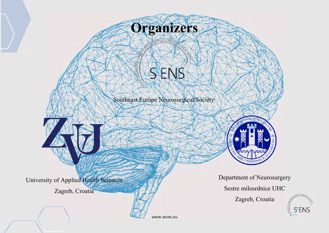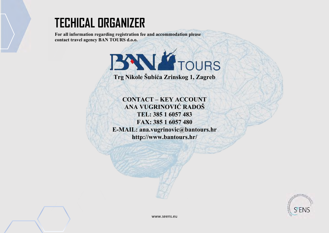#### **TECHICAL ORGANIZER**

**For all information regarding registration fee and accommodation please contact travel agency BAN TOURS d.o.o.**



**Trg Nikole Šubića Zrinskog 1, Zagreb** 

**CONTACT – KEY ACCOUNT ANA VUGRINOVIĆ RADOŠ TEL: 385 1 6057 483 FAX: 385 1 6057 480 E-MAIL: ana.vugrinovic@bantours.hr http://www.bantours.hr/**